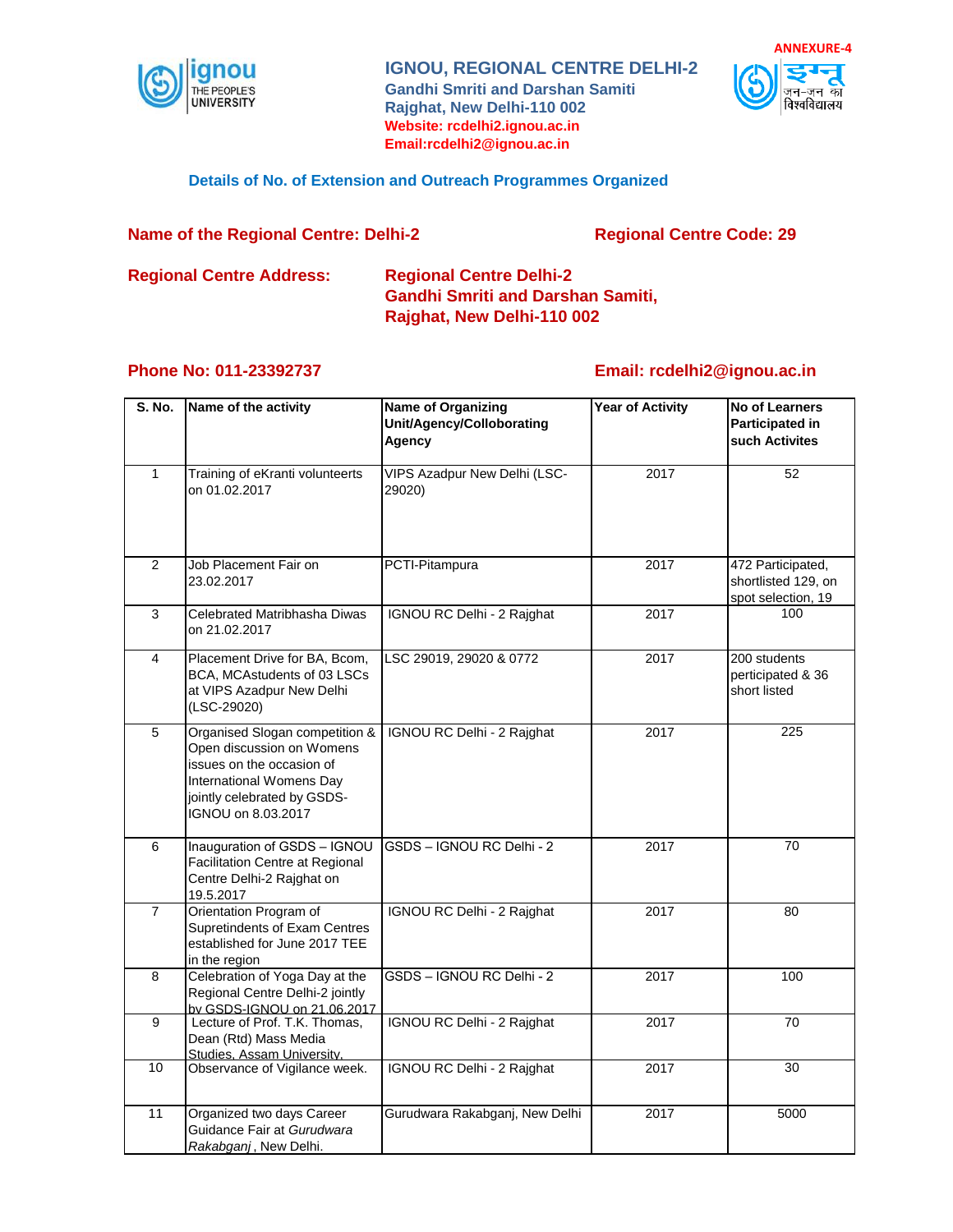

**IGNOU, REGIONAL CENTRE DELHI-2 Gandhi Smriti and Darshan Samiti Rajghat, New Delhi-110 002 Website: rcdelhi2.ignou.ac.in Email:rcdelhi2@ignou.ac.in**



#### **Details of No. of Extension and Outreach Programmes Organized**

#### **Name of the Regional Centre: Delhi-2 Regional Centre Code: 29**

# **Regional Centre Address: Regional Centre Delhi-2 Gandhi Smriti and Darshan Samiti, Rajghat, New Delhi-110 002**

## **Phone No: 011-23392737**

## **Email: rcdelhi2@ignou.ac.in**

| S. No.         | Name of the activity                                                                                                                                                      | <b>Name of Organizing</b><br>Unit/Agency/Colloborating<br>Agency | <b>Year of Activity</b> | <b>No of Learners</b><br><b>Participated in</b><br>such Activites |
|----------------|---------------------------------------------------------------------------------------------------------------------------------------------------------------------------|------------------------------------------------------------------|-------------------------|-------------------------------------------------------------------|
| $\mathbf{1}$   | Training of eKranti volunteerts<br>on 01.02.2017                                                                                                                          | VIPS Azadpur New Delhi (LSC-<br>29020)                           | 2017                    | 52                                                                |
| 2              | Job Placement Fair on<br>23.02.2017                                                                                                                                       | PCTI-Pitampura                                                   | 2017                    | 472 Participated,<br>shortlisted 129, on<br>spot selection, 19    |
| 3              | Celebrated Matribhasha Diwas<br>on 21.02.2017                                                                                                                             | IGNOU RC Delhi - 2 Rajghat                                       | 2017                    | 100                                                               |
| 4              | Placement Drive for BA, Bcom,<br>BCA, MCAstudents of 03 LSCs<br>at VIPS Azadpur New Delhi<br>(LSC-29020)                                                                  | LSC 29019, 29020 & 0772                                          | 2017                    | 200 students<br>perticipated & 36<br>short listed                 |
| 5              | Organised Slogan competition &<br>Open discussion on Womens<br>issues on the occasion of<br>International Womens Day<br>jointly celebrated by GSDS-<br>IGNOU on 8.03.2017 | IGNOU RC Delhi - 2 Rajghat                                       | 2017                    | 225                                                               |
| 6              | Inauguration of GSDS - IGNOU<br><b>Facilitation Centre at Regional</b><br>Centre Delhi-2 Rajghat on<br>19.5.2017                                                          | GSDS - IGNOU RC Delhi - 2                                        | 2017                    | 70                                                                |
| $\overline{7}$ | Orientation Program of<br><b>Supretindents of Exam Centres</b><br>established for June 2017 TEE<br>in the region                                                          | IGNOU RC Delhi - 2 Rajghat                                       | 2017                    | 80                                                                |
| 8              | Celebration of Yoga Day at the<br>Regional Centre Delhi-2 jointly<br>by GSDS-IGNOU on 21.06.2017                                                                          | GSDS - IGNOU RC Delhi - 2                                        | 2017                    | 100                                                               |
| $\overline{9}$ | Lecture of Prof. T.K. Thomas,<br>Dean (Rtd) Mass Media<br>Studies. Assam University.                                                                                      | IGNOU RC Delhi - 2 Rajghat                                       | 2017                    | 70                                                                |
| 10             | Observance of Vigilance week.                                                                                                                                             | IGNOU RC Delhi - 2 Rajghat                                       | 2017                    | 30                                                                |
| 11             | Organized two days Career<br>Guidance Fair at Gurudwara<br>Rakabganj, New Delhi.                                                                                          | Gurudwara Rakabganj, New Delhi                                   | 2017                    | 5000                                                              |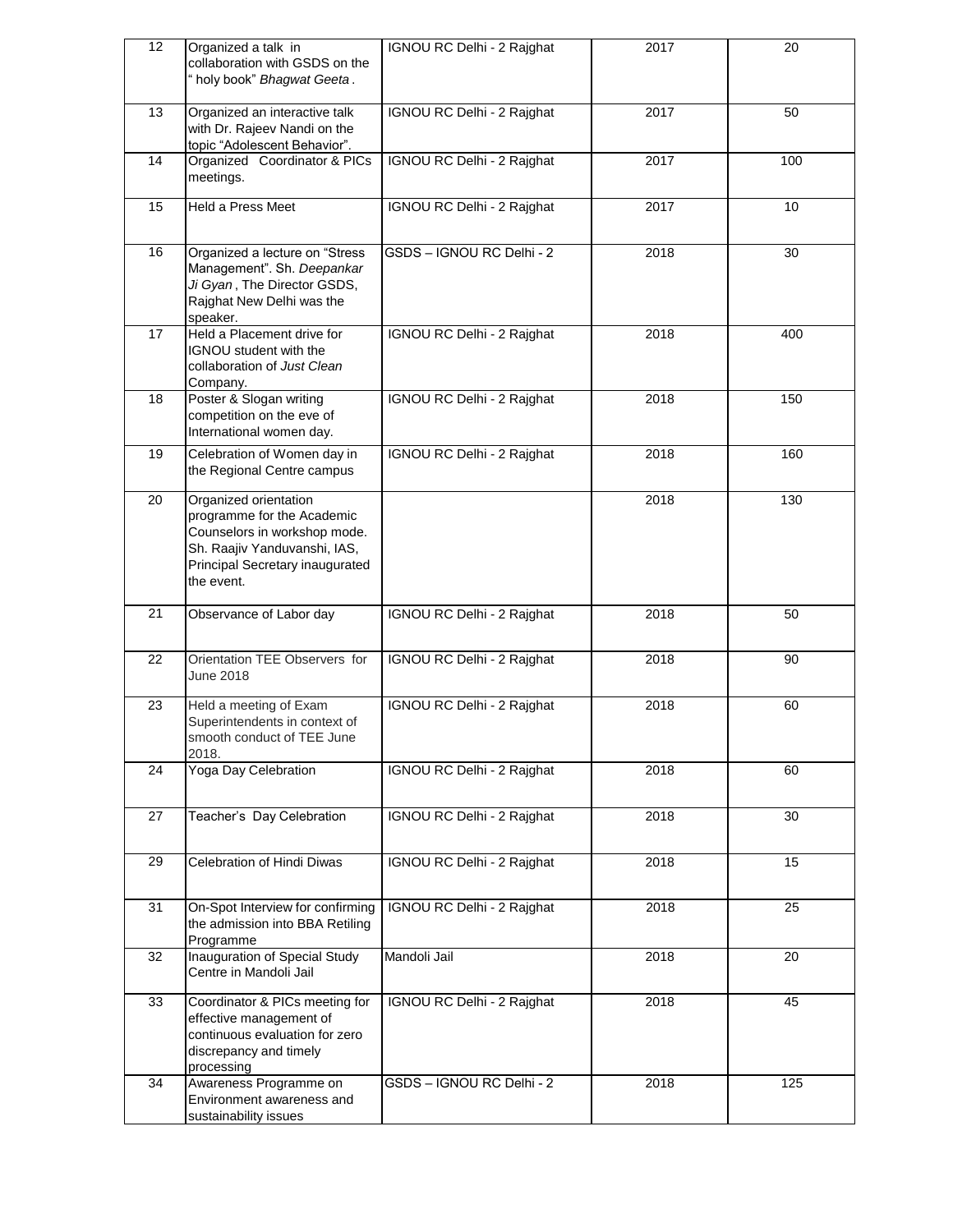| 12 | Organized a talk in<br>collaboration with GSDS on the<br>" holy book" Bhagwat Geeta.                                                                                 | IGNOU RC Delhi - 2 Rajghat | 2017 | 20  |
|----|----------------------------------------------------------------------------------------------------------------------------------------------------------------------|----------------------------|------|-----|
| 13 | Organized an interactive talk<br>with Dr. Rajeev Nandi on the<br>topic "Adolescent Behavior".                                                                        | IGNOU RC Delhi - 2 Rajghat | 2017 | 50  |
| 14 | Organized Coordinator & PICs<br>meetings.                                                                                                                            | IGNOU RC Delhi - 2 Rajghat | 2017 | 100 |
| 15 | Held a Press Meet                                                                                                                                                    | IGNOU RC Delhi - 2 Rajghat | 2017 | 10  |
| 16 | Organized a lecture on "Stress<br>Management". Sh. Deepankar<br>Ji Gyan, The Director GSDS,<br>Rajghat New Delhi was the<br>speaker.                                 | GSDS - IGNOU RC Delhi - 2  | 2018 | 30  |
| 17 | Held a Placement drive for<br>IGNOU student with the<br>collaboration of Just Clean<br>Company.                                                                      | IGNOU RC Delhi - 2 Rajghat | 2018 | 400 |
| 18 | Poster & Slogan writing<br>competition on the eve of<br>International women day.                                                                                     | IGNOU RC Delhi - 2 Rajghat | 2018 | 150 |
| 19 | Celebration of Women day in<br>the Regional Centre campus                                                                                                            | IGNOU RC Delhi - 2 Rajghat | 2018 | 160 |
| 20 | Organized orientation<br>programme for the Academic<br>Counselors in workshop mode.<br>Sh. Raajiv Yanduvanshi, IAS,<br>Principal Secretary inaugurated<br>the event. |                            | 2018 | 130 |
| 21 | Observance of Labor day                                                                                                                                              | IGNOU RC Delhi - 2 Rajghat | 2018 | 50  |
| 22 | Orientation TEE Observers for<br>June 2018                                                                                                                           | IGNOU RC Delhi - 2 Rajghat | 2018 | 90  |
| 23 | Held a meeting of Exam<br>Superintendents in context of<br>smooth conduct of TEE June<br>2018.                                                                       | IGNOU RC Delhi - 2 Rajghat | 2018 | 60  |
| 24 | Yoga Day Celebration                                                                                                                                                 | IGNOU RC Delhi - 2 Rajghat | 2018 | 60  |
| 27 | Teacher's Day Celebration                                                                                                                                            | IGNOU RC Delhi - 2 Rajghat | 2018 | 30  |
| 29 | Celebration of Hindi Diwas                                                                                                                                           | IGNOU RC Delhi - 2 Rajghat | 2018 | 15  |
| 31 | On-Spot Interview for confirming<br>the admission into BBA Retiling<br>Programme                                                                                     | IGNOU RC Delhi - 2 Rajghat | 2018 | 25  |
| 32 | Inauguration of Special Study<br>Centre in Mandoli Jail                                                                                                              | Mandoli Jail               | 2018 | 20  |
| 33 | Coordinator & PICs meeting for<br>effective management of<br>continuous evaluation for zero<br>discrepancy and timely<br>processing                                  | IGNOU RC Delhi - 2 Rajghat | 2018 | 45  |
| 34 | Awareness Programme on<br>Environment awareness and<br>sustainability issues                                                                                         | GSDS - IGNOU RC Delhi - 2  | 2018 | 125 |